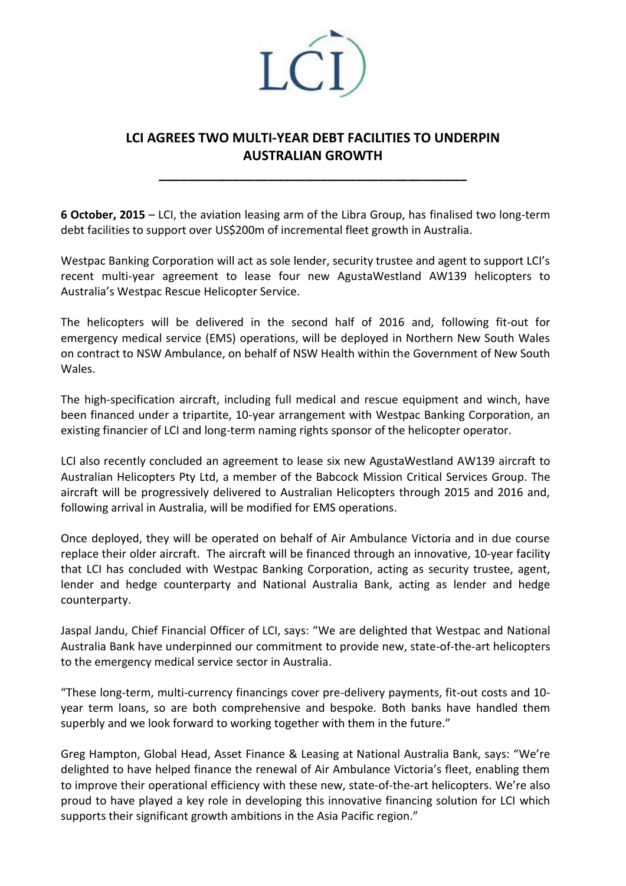

## **LCI AGREES TWO MULTI-YEAR DEBT FACILITIES TO UNDERPIN AUSTRALIAN GROWTH**

**\_\_\_\_\_\_\_\_\_\_\_\_\_\_\_\_\_\_\_\_\_\_\_\_\_\_\_\_\_\_\_\_\_\_\_\_\_\_\_\_\_\_**

**6 October, 2015** – LCI, the aviation leasing arm of the Libra Group, has finalised two long-term debt facilities to support over US\$200m of incremental fleet growth in Australia.

Westpac Banking Corporation will act as sole lender, security trustee and agent to support LCI's recent multi-year agreement to lease four new AgustaWestland AW139 helicopters to Australia's Westpac Rescue Helicopter Service.

The helicopters will be delivered in the second half of 2016 and, following fit-out for emergency medical service (EMS) operations, will be deployed in Northern New South Wales on contract to NSW Ambulance, on behalf of NSW Health within the Government of New South Wales.

The high-specification aircraft, including full medical and rescue equipment and winch, have been financed under a tripartite, 10-year arrangement with Westpac Banking Corporation, an existing financier of LCI and long-term naming rights sponsor of the helicopter operator.

LCI also recently concluded an agreement to lease six new AgustaWestland AW139 aircraft to Australian Helicopters Pty Ltd, a member of the Babcock Mission Critical Services Group. The aircraft will be progressively delivered to Australian Helicopters through 2015 and 2016 and, following arrival in Australia, will be modified for EMS operations.

Once deployed, they will be operated on behalf of Air Ambulance Victoria and in due course replace their older aircraft. The aircraft will be financed through an innovative, 10-year facility that LCI has concluded with Westpac Banking Corporation, acting as security trustee, agent, lender and hedge counterparty and National Australia Bank, acting as lender and hedge counterparty.

Jaspal Jandu, Chief Financial Officer of LCI, says: "We are delighted that Westpac and National Australia Bank have underpinned our commitment to provide new, state-of-the-art helicopters to the emergency medical service sector in Australia.

"These long-term, multi-currency financings cover pre-delivery payments, fit-out costs and 10 year term loans, so are both comprehensive and bespoke. Both banks have handled them superbly and we look forward to working together with them in the future."

Greg Hampton, Global Head, Asset Finance & Leasing at National Australia Bank, says: "We're delighted to have helped finance the renewal of Air Ambulance Victoria's fleet, enabling them to improve their operational efficiency with these new, state-of-the-art helicopters. We're also proud to have played a key role in developing this innovative financing solution for LCI which supports their significant growth ambitions in the Asia Pacific region."